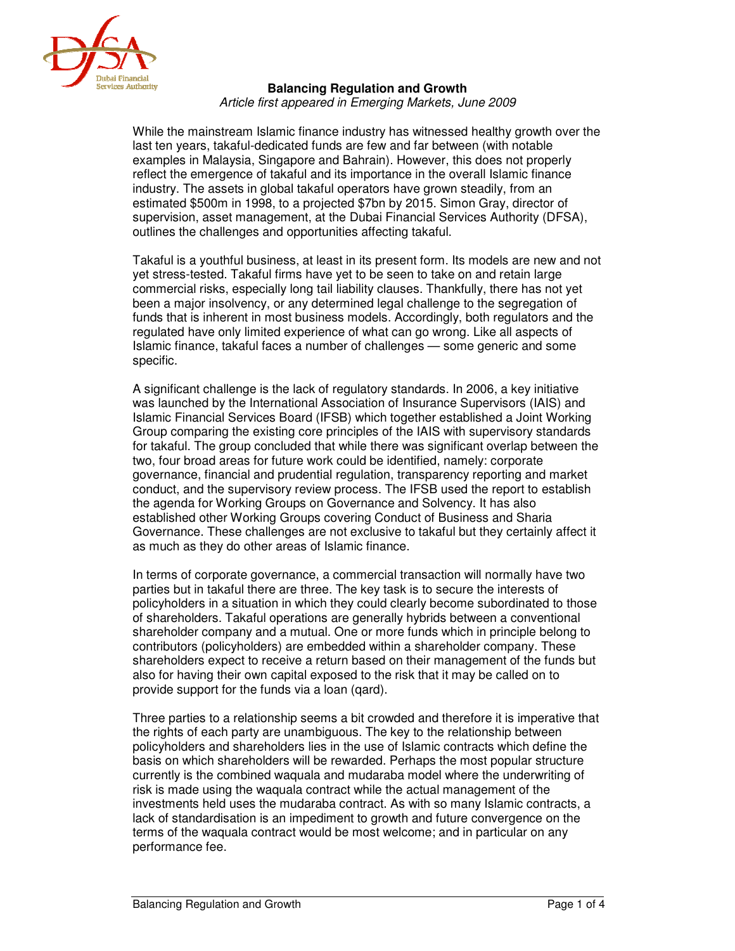

## **Balancing Regulation and Growth**

Article first appeared in Emerging Markets, June 2009

While the mainstream Islamic finance industry has witnessed healthy growth over the last ten years, takaful-dedicated funds are few and far between (with notable examples in Malaysia, Singapore and Bahrain). However, this does not properly reflect the emergence of takaful and its importance in the overall Islamic finance industry. The assets in global takaful operators have grown steadily, from an estimated \$500m in 1998, to a projected \$7bn by 2015. Simon Gray, director of supervision, asset management, at the Dubai Financial Services Authority (DFSA), outlines the challenges and opportunities affecting takaful.

Takaful is a youthful business, at least in its present form. Its models are new and not yet stress-tested. Takaful firms have yet to be seen to take on and retain large commercial risks, especially long tail liability clauses. Thankfully, there has not yet been a major insolvency, or any determined legal challenge to the segregation of funds that is inherent in most business models. Accordingly, both regulators and the regulated have only limited experience of what can go wrong. Like all aspects of Islamic finance, takaful faces a number of challenges — some generic and some specific.

A significant challenge is the lack of regulatory standards. In 2006, a key initiative was launched by the International Association of Insurance Supervisors (IAIS) and Islamic Financial Services Board (IFSB) which together established a Joint Working Group comparing the existing core principles of the IAIS with supervisory standards for takaful. The group concluded that while there was significant overlap between the two, four broad areas for future work could be identified, namely: corporate governance, financial and prudential regulation, transparency reporting and market conduct, and the supervisory review process. The IFSB used the report to establish the agenda for Working Groups on Governance and Solvency. It has also established other Working Groups covering Conduct of Business and Sharia Governance. These challenges are not exclusive to takaful but they certainly affect it as much as they do other areas of Islamic finance.

In terms of corporate governance, a commercial transaction will normally have two parties but in takaful there are three. The key task is to secure the interests of policyholders in a situation in which they could clearly become subordinated to those of shareholders. Takaful operations are generally hybrids between a conventional shareholder company and a mutual. One or more funds which in principle belong to contributors (policyholders) are embedded within a shareholder company. These shareholders expect to receive a return based on their management of the funds but also for having their own capital exposed to the risk that it may be called on to provide support for the funds via a loan (qard).

Three parties to a relationship seems a bit crowded and therefore it is imperative that the rights of each party are unambiguous. The key to the relationship between policyholders and shareholders lies in the use of Islamic contracts which define the basis on which shareholders will be rewarded. Perhaps the most popular structure currently is the combined waquala and mudaraba model where the underwriting of risk is made using the waquala contract while the actual management of the investments held uses the mudaraba contract. As with so many Islamic contracts, a lack of standardisation is an impediment to growth and future convergence on the terms of the waquala contract would be most welcome; and in particular on any performance fee.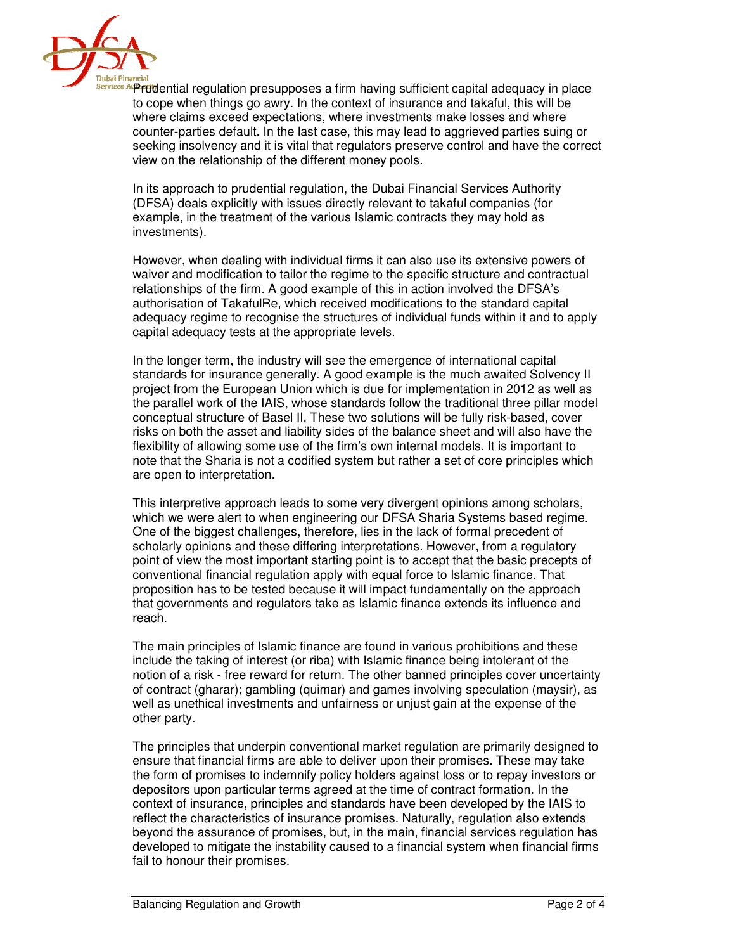

**Bervices Arp ruid**ential regulation presupposes a firm having sufficient capital adequacy in place to cope when things go awry. In the context of insurance and takaful, this will be where claims exceed expectations, where investments make losses and where counter-parties default. In the last case, this may lead to aggrieved parties suing or seeking insolvency and it is vital that regulators preserve control and have the correct view on the relationship of the different money pools.

In its approach to prudential regulation, the Dubai Financial Services Authority (DFSA) deals explicitly with issues directly relevant to takaful companies (for example, in the treatment of the various Islamic contracts they may hold as investments).

However, when dealing with individual firms it can also use its extensive powers of waiver and modification to tailor the regime to the specific structure and contractual relationships of the firm. A good example of this in action involved the DFSA's authorisation of TakafulRe, which received modifications to the standard capital adequacy regime to recognise the structures of individual funds within it and to apply capital adequacy tests at the appropriate levels.

In the longer term, the industry will see the emergence of international capital standards for insurance generally. A good example is the much awaited Solvency II project from the European Union which is due for implementation in 2012 as well as the parallel work of the IAIS, whose standards follow the traditional three pillar model conceptual structure of Basel II. These two solutions will be fully risk-based, cover risks on both the asset and liability sides of the balance sheet and will also have the flexibility of allowing some use of the firm's own internal models. It is important to note that the Sharia is not a codified system but rather a set of core principles which are open to interpretation.

This interpretive approach leads to some very divergent opinions among scholars, which we were alert to when engineering our DFSA Sharia Systems based regime. One of the biggest challenges, therefore, lies in the lack of formal precedent of scholarly opinions and these differing interpretations. However, from a regulatory point of view the most important starting point is to accept that the basic precepts of conventional financial regulation apply with equal force to Islamic finance. That proposition has to be tested because it will impact fundamentally on the approach that governments and regulators take as Islamic finance extends its influence and reach.

The main principles of Islamic finance are found in various prohibitions and these include the taking of interest (or riba) with Islamic finance being intolerant of the notion of a risk - free reward for return. The other banned principles cover uncertainty of contract (gharar); gambling (quimar) and games involving speculation (maysir), as well as unethical investments and unfairness or unjust gain at the expense of the other party.

The principles that underpin conventional market regulation are primarily designed to ensure that financial firms are able to deliver upon their promises. These may take the form of promises to indemnify policy holders against loss or to repay investors or depositors upon particular terms agreed at the time of contract formation. In the context of insurance, principles and standards have been developed by the IAIS to reflect the characteristics of insurance promises. Naturally, regulation also extends beyond the assurance of promises, but, in the main, financial services regulation has developed to mitigate the instability caused to a financial system when financial firms fail to honour their promises.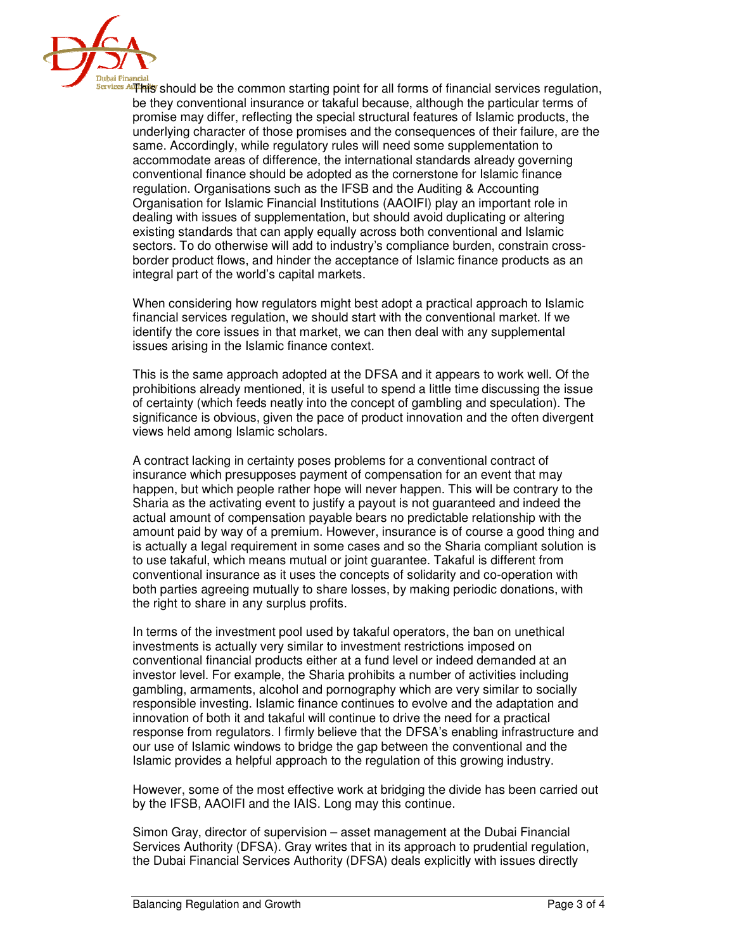

 $\frac{\text{Services API}}{\text{Services}}$  should be the common starting point for all forms of financial services regulation, be they conventional insurance or takaful because, although the particular terms of promise may differ, reflecting the special structural features of Islamic products, the underlying character of those promises and the consequences of their failure, are the same. Accordingly, while regulatory rules will need some supplementation to accommodate areas of difference, the international standards already governing conventional finance should be adopted as the cornerstone for Islamic finance regulation. Organisations such as the IFSB and the Auditing & Accounting Organisation for Islamic Financial Institutions (AAOIFI) play an important role in dealing with issues of supplementation, but should avoid duplicating or altering existing standards that can apply equally across both conventional and Islamic sectors. To do otherwise will add to industry's compliance burden, constrain crossborder product flows, and hinder the acceptance of Islamic finance products as an integral part of the world's capital markets.

When considering how regulators might best adopt a practical approach to Islamic financial services regulation, we should start with the conventional market. If we identify the core issues in that market, we can then deal with any supplemental issues arising in the Islamic finance context.

This is the same approach adopted at the DFSA and it appears to work well. Of the prohibitions already mentioned, it is useful to spend a little time discussing the issue of certainty (which feeds neatly into the concept of gambling and speculation). The significance is obvious, given the pace of product innovation and the often divergent views held among Islamic scholars.

A contract lacking in certainty poses problems for a conventional contract of insurance which presupposes payment of compensation for an event that may happen, but which people rather hope will never happen. This will be contrary to the Sharia as the activating event to justify a payout is not guaranteed and indeed the actual amount of compensation payable bears no predictable relationship with the amount paid by way of a premium. However, insurance is of course a good thing and is actually a legal requirement in some cases and so the Sharia compliant solution is to use takaful, which means mutual or joint guarantee. Takaful is different from conventional insurance as it uses the concepts of solidarity and co-operation with both parties agreeing mutually to share losses, by making periodic donations, with the right to share in any surplus profits.

In terms of the investment pool used by takaful operators, the ban on unethical investments is actually very similar to investment restrictions imposed on conventional financial products either at a fund level or indeed demanded at an investor level. For example, the Sharia prohibits a number of activities including gambling, armaments, alcohol and pornography which are very similar to socially responsible investing. Islamic finance continues to evolve and the adaptation and innovation of both it and takaful will continue to drive the need for a practical response from regulators. I firmly believe that the DFSA's enabling infrastructure and our use of Islamic windows to bridge the gap between the conventional and the Islamic provides a helpful approach to the regulation of this growing industry.

However, some of the most effective work at bridging the divide has been carried out by the IFSB, AAOIFI and the IAIS. Long may this continue.

Simon Gray, director of supervision – asset management at the Dubai Financial Services Authority (DFSA). Gray writes that in its approach to prudential regulation, the Dubai Financial Services Authority (DFSA) deals explicitly with issues directly